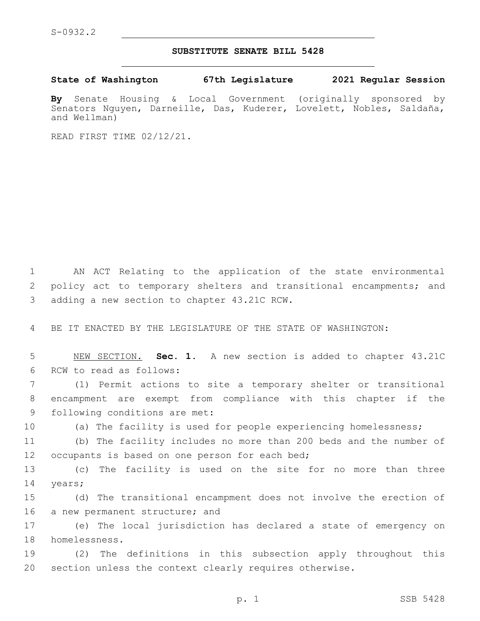## **SUBSTITUTE SENATE BILL 5428**

**State of Washington 67th Legislature 2021 Regular Session**

**By** Senate Housing & Local Government (originally sponsored by Senators Nguyen, Darneille, Das, Kuderer, Lovelett, Nobles, Saldaña, and Wellman)

READ FIRST TIME 02/12/21.

1 AN ACT Relating to the application of the state environmental 2 policy act to temporary shelters and transitional encampments; and 3 adding a new section to chapter 43.21C RCW.

4 BE IT ENACTED BY THE LEGISLATURE OF THE STATE OF WASHINGTON:

5 NEW SECTION. **Sec. 1.** A new section is added to chapter 43.21C 6 RCW to read as follows:

7 (1) Permit actions to site a temporary shelter or transitional 8 encampment are exempt from compliance with this chapter if the 9 following conditions are met:

10 (a) The facility is used for people experiencing homelessness;

11 (b) The facility includes no more than 200 beds and the number of 12 occupants is based on one person for each bed;

13 (c) The facility is used on the site for no more than three 14 years;

15 (d) The transitional encampment does not involve the erection of 16 a new permanent structure; and

17 (e) The local jurisdiction has declared a state of emergency on 18 homelessness.

19 (2) The definitions in this subsection apply throughout this 20 section unless the context clearly requires otherwise.